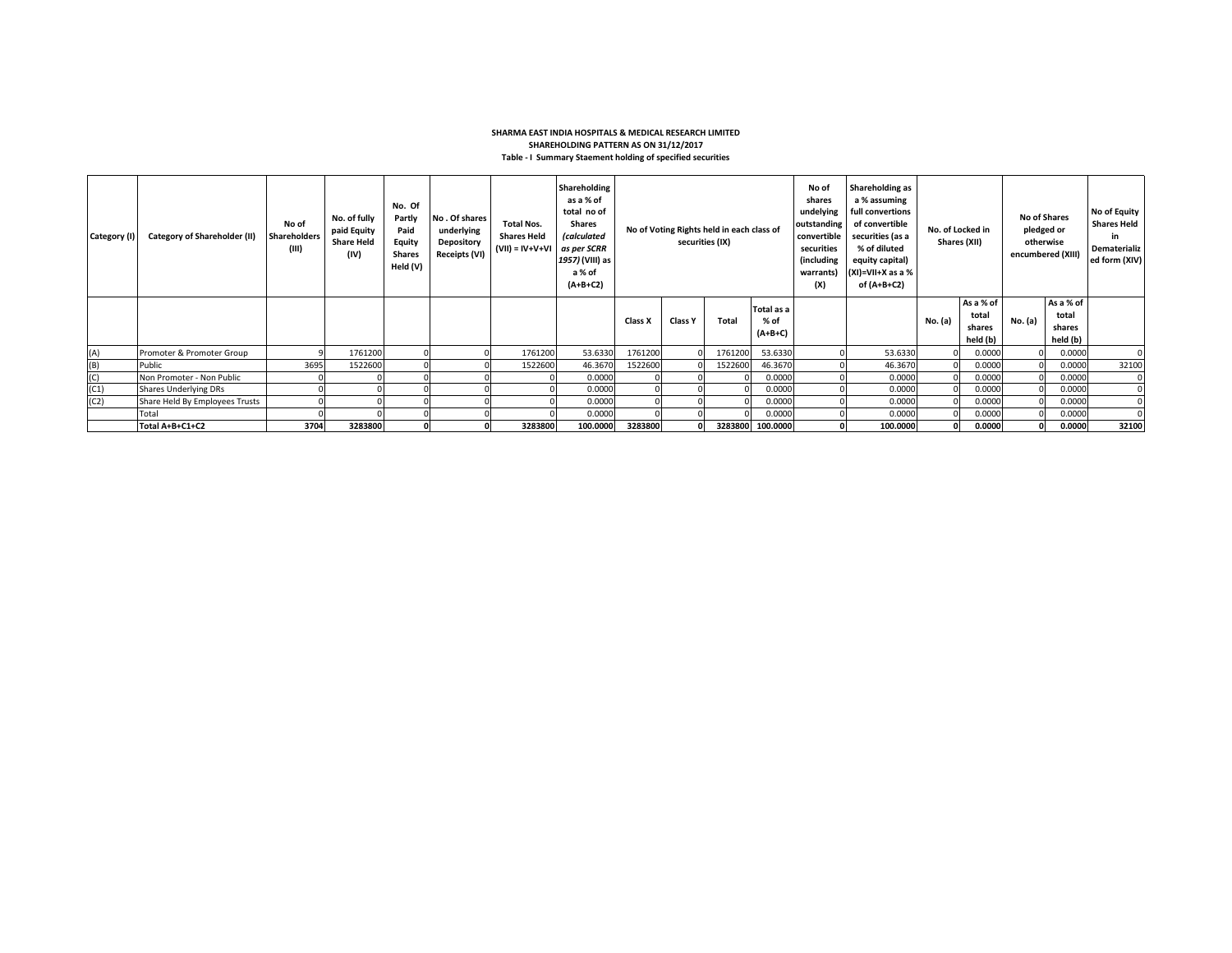## **SHARMA EAST INDIA HOSPITALS & MEDICAL RESEARCH LIMITED SHAREHOLDING PATTERN AS ON 31/12/2017 Table - I Summary Staement holding of specified securities**

| Category (I) | Category of Shareholder (II)   | No of<br><b>Shareholders</b><br>(III) | No. of fully<br>paid Equity<br><b>Share Held</b><br>(IV) | No. Of<br>Partly<br>Paid<br>Equity<br><b>Shares</b><br>Held (V) | No. Of shares<br>underlying<br>Depository<br>Receipts (VI) | Total Nos.<br><b>Shares Held</b><br>$(VII) = IV + V + VI$ | Shareholding<br>as a % of<br>total no of<br><b>Shares</b><br><i>(calculated</i><br>as per SCRR<br>1957) (VIII) as<br>a % of<br>$(A+B+C2)$ | No of Voting Rights held in each class of<br>securities (IX) |                |         | No of<br>shares<br>undelying<br>outstanding<br>convertible<br>securities<br>(including<br>warrants)<br>(X) | Shareholding as<br>a % assuming<br>full convertions<br>of convertible<br>securities (as a<br>% of diluted<br>equity capital)<br>$(XI)=VII+X$ as a %<br>of (A+B+C2) | No. of Locked in | Shares (XII) | <b>No of Shares</b><br>pledged or<br>otherwise<br>encumbered (XIII) |         | No of Equity<br><b>Shares Held</b><br>in<br>Dematerializ<br>ed form (XIV) |       |
|--------------|--------------------------------|---------------------------------------|----------------------------------------------------------|-----------------------------------------------------------------|------------------------------------------------------------|-----------------------------------------------------------|-------------------------------------------------------------------------------------------------------------------------------------------|--------------------------------------------------------------|----------------|---------|------------------------------------------------------------------------------------------------------------|--------------------------------------------------------------------------------------------------------------------------------------------------------------------|------------------|--------------|---------------------------------------------------------------------|---------|---------------------------------------------------------------------------|-------|
|              |                                |                                       |                                                          |                                                                 |                                                            |                                                           |                                                                                                                                           | Class X                                                      | <b>Class Y</b> | Total   | Total as a<br>% of<br>$(A+B+C)$                                                                            |                                                                                                                                                                    |                  | No. (a)      | As a % of<br>total<br>shares<br>held (b)                            | No. (a) | As a % of<br>total<br>shares<br>held (b)                                  |       |
| (A)          | Promoter & Promoter Group      |                                       | 1761200                                                  |                                                                 |                                                            | 1761200                                                   | 53.6330                                                                                                                                   | 1761200                                                      |                | 1761200 | 53.6330                                                                                                    |                                                                                                                                                                    | 53.6330          |              | 0.0000                                                              |         | 0.0000                                                                    |       |
| (B)          | Public                         | 3695                                  | 1522600                                                  |                                                                 |                                                            | 1522600                                                   | 46.3670                                                                                                                                   | 1522600                                                      |                | 1522600 | 46.3670                                                                                                    |                                                                                                                                                                    | 46.3670          |              | 0.0000                                                              |         | 0.0000                                                                    | 32100 |
| (C)          | Non Promoter - Non Public      |                                       |                                                          |                                                                 |                                                            |                                                           | 0.0000                                                                                                                                    |                                                              |                |         | 0.0000                                                                                                     |                                                                                                                                                                    | 0.0000           |              | 0.0000                                                              |         | 0.0000                                                                    |       |
| (C1)         | <b>Shares Underlying DRs</b>   |                                       |                                                          |                                                                 |                                                            |                                                           | 0.0000                                                                                                                                    |                                                              |                |         | 0.0000                                                                                                     |                                                                                                                                                                    | 0.0000           |              | 0.0000                                                              |         | 0.0000                                                                    |       |
| (C2)         | Share Held By Employees Trusts |                                       |                                                          |                                                                 |                                                            |                                                           | 0.0000                                                                                                                                    |                                                              |                |         | 0.0000                                                                                                     |                                                                                                                                                                    | 0.0000           |              | 0.0000                                                              |         | 0.0000                                                                    |       |
|              | Total                          |                                       |                                                          |                                                                 |                                                            |                                                           | 0.0000                                                                                                                                    |                                                              |                |         | 0.0000                                                                                                     |                                                                                                                                                                    | 0.0000           |              | 0.0000                                                              |         | 0.0000                                                                    |       |
|              | Total A+B+C1+C2                | 3704                                  | 3283800                                                  |                                                                 |                                                            | 3283800                                                   | 100.0000                                                                                                                                  | 3283800                                                      |                |         | 3283800 100.0000                                                                                           |                                                                                                                                                                    | 100.0000         |              | 0.0000                                                              |         | 0.0000                                                                    | 32100 |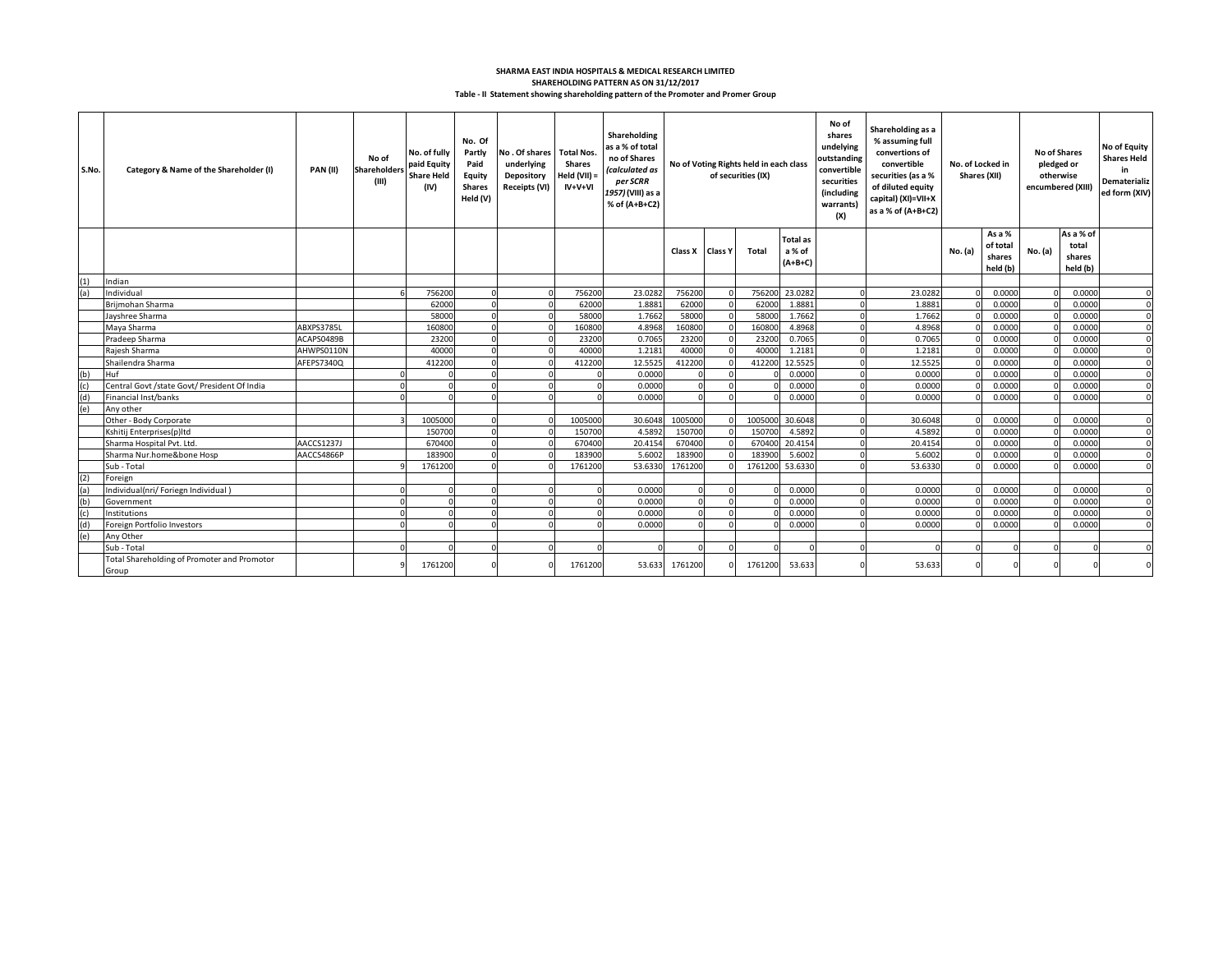## **Table - II Statement showing shareholding pattern of the Promoter and Promer Group SHAREHOLDING PATTERN AS ON 31/12/2017 SHARMA EAST INDIA HOSPITALS & MEDICAL RESEARCH LIMITED**

| S.No.      | Category & Name of the Shareholder (I)               | <b>PAN (II)</b> | No of<br>Shareholders<br>(III) | No. of fully<br>paid Equity<br><b>Share Held</b><br>(IV) | No. Of<br>Partly<br>Paid<br>Equity<br><b>Shares</b><br>Held (V) | No. Of shares Total Nos.<br>underlying<br>Depository<br><b>Receipts (VI)</b> | Shares<br>Held (VII) =<br>$IV+V+VI$ | Shareholding<br>as a % of total<br>no of Shares<br>(calculated as<br>per SCRR<br>1957) (VIII) as a<br>% of (A+B+C2) | No of Voting Rights held in each class<br>of securities (IX) |                | No of<br>Shareholding as a<br>shares<br>% assuming full<br>undelying<br>convertions of<br>outstanding<br>convertible<br>convertible<br>securities (as a %<br>securities<br>of diluted equity<br>(including<br>capital) (XI)=VII+X<br>warrants)<br>as a % of (A+B+C2)<br>(X) |                                        | No. of Locked in<br>Shares (XII) |         | <b>No of Shares</b><br>pledged or<br>otherwise<br>encumbered (XIII) |                                          | No of Equity<br><b>Shares Held</b><br>in<br>Dematerializ<br>ed form (XIV) |                                          |          |
|------------|------------------------------------------------------|-----------------|--------------------------------|----------------------------------------------------------|-----------------------------------------------------------------|------------------------------------------------------------------------------|-------------------------------------|---------------------------------------------------------------------------------------------------------------------|--------------------------------------------------------------|----------------|-----------------------------------------------------------------------------------------------------------------------------------------------------------------------------------------------------------------------------------------------------------------------------|----------------------------------------|----------------------------------|---------|---------------------------------------------------------------------|------------------------------------------|---------------------------------------------------------------------------|------------------------------------------|----------|
|            |                                                      |                 |                                |                                                          |                                                                 |                                                                              |                                     |                                                                                                                     | Class X                                                      | <b>Class Y</b> | <b>Total</b>                                                                                                                                                                                                                                                                | <b>Total as</b><br>a % of<br>$(A+B+C)$ |                                  |         | No. (a)                                                             | As a %<br>of total<br>shares<br>held (b) | No. (a)                                                                   | As a % of<br>total<br>shares<br>held (b) |          |
|            | Indian                                               |                 |                                |                                                          |                                                                 |                                                                              |                                     |                                                                                                                     |                                                              |                |                                                                                                                                                                                                                                                                             |                                        |                                  |         |                                                                     |                                          |                                                                           |                                          |          |
| (1)<br>(a) | Individual                                           |                 |                                | 756200                                                   |                                                                 |                                                                              | 756200                              | 23.0282                                                                                                             | 756200                                                       |                | 756200                                                                                                                                                                                                                                                                      | 23.0282                                | $\Omega$                         | 23.0282 |                                                                     | 0.0000                                   |                                                                           | 0.0000                                   | $\Omega$ |
|            | Briimohan Sharma                                     |                 |                                | 62000                                                    |                                                                 |                                                                              | 62000                               | 1.8881                                                                                                              | 62000                                                        |                | 62000                                                                                                                                                                                                                                                                       | 1.8881                                 | $\Omega$                         | 1.8881  |                                                                     | 0.0000                                   |                                                                           | 0.0000                                   |          |
|            | Jayshree Sharma                                      |                 |                                | 58000                                                    |                                                                 |                                                                              | 58000                               | 1.7662                                                                                                              | 58000                                                        |                | 58000                                                                                                                                                                                                                                                                       | 1.7662                                 | $\Omega$                         | 1.7662  |                                                                     | 0.0000                                   |                                                                           | 0.0000                                   |          |
|            | Maya Sharma                                          | ABXPS3785L      |                                | 160800                                                   |                                                                 |                                                                              | 160800                              | 4.8968                                                                                                              | 160800                                                       |                | 160800                                                                                                                                                                                                                                                                      | 4.8968                                 | $\Omega$                         | 4.8968  |                                                                     | 0.0000                                   |                                                                           | 0.0000                                   | $\Omega$ |
|            | Pradeep Sharma                                       | ACAPS0489B      |                                | 23200                                                    |                                                                 |                                                                              | 23200                               | 0.7065                                                                                                              | 23200                                                        |                | 23200                                                                                                                                                                                                                                                                       | 0.7065                                 | $\Omega$                         | 0.7065  |                                                                     | 0.0000                                   |                                                                           | 0.0000                                   |          |
|            | Rajesh Sharma                                        | AHWPS0110N      |                                | 40000                                                    |                                                                 |                                                                              | 40000                               | 1.2181                                                                                                              | 40000                                                        |                | 40000                                                                                                                                                                                                                                                                       | 1.2181                                 |                                  | 1.2181  |                                                                     | 0.0000                                   |                                                                           | 0.0000                                   |          |
|            | Shailendra Sharma                                    | AFEPS7340Q      |                                | 412200                                                   |                                                                 |                                                                              | 412200                              | 12.5525                                                                                                             | 412200                                                       |                | 412200                                                                                                                                                                                                                                                                      | 12.5525                                | $\Omega$                         | 12.5525 |                                                                     | 0.0000                                   |                                                                           | 0.0000                                   |          |
| (b)        | Huf                                                  |                 |                                |                                                          |                                                                 |                                                                              |                                     | 0.0000                                                                                                              |                                                              |                |                                                                                                                                                                                                                                                                             | 0.0000                                 | $\Omega$                         | 0.0000  |                                                                     | 0.0000                                   |                                                                           | 0.0000                                   |          |
| (c)        | Central Govt /state Govt/ President Of India         |                 |                                |                                                          |                                                                 |                                                                              |                                     | 0.0000                                                                                                              |                                                              |                |                                                                                                                                                                                                                                                                             | 0.0000                                 | $\Omega$                         | 0.0000  |                                                                     | 0.0000                                   |                                                                           | 0.0000                                   |          |
| (d)        | Financial Inst/banks                                 |                 |                                |                                                          |                                                                 |                                                                              |                                     | 0.0000                                                                                                              |                                                              |                |                                                                                                                                                                                                                                                                             | 0.0000                                 | $\Omega$                         | 0.0000  |                                                                     | 0.000                                    |                                                                           | 0.0000                                   |          |
| (e)        | Any other                                            |                 |                                |                                                          |                                                                 |                                                                              |                                     |                                                                                                                     |                                                              |                |                                                                                                                                                                                                                                                                             |                                        |                                  |         |                                                                     |                                          |                                                                           |                                          |          |
|            | Other - Body Corporate                               |                 |                                | 1005000                                                  |                                                                 |                                                                              | 1005000                             | 30.6048                                                                                                             | 1005000                                                      |                | 1005000                                                                                                                                                                                                                                                                     | 30.6048                                | $\Omega$                         | 30.6048 |                                                                     | 0.0000                                   |                                                                           | 0.0000                                   |          |
|            | Kshitij Enterprises(p)Itd                            |                 |                                | 150700                                                   |                                                                 |                                                                              | 150700                              | 4.5892                                                                                                              | 150700                                                       |                | 150700                                                                                                                                                                                                                                                                      | 4.5892                                 | $\Omega$                         | 4.5892  |                                                                     | 0.0000                                   |                                                                           | 0.0000                                   |          |
|            | Sharma Hospital Pvt. Ltd.                            | AACCS1237J      |                                | 670400                                                   |                                                                 |                                                                              | 670400                              | 20.4154                                                                                                             | 670400                                                       |                | 670400                                                                                                                                                                                                                                                                      | 20.4154                                | $\Omega$                         | 20,4154 |                                                                     | 0.0000                                   |                                                                           | 0.0000                                   |          |
|            | Sharma Nur.home&bone Hosp                            | AACCS4866P      |                                | 183900                                                   |                                                                 |                                                                              | 183900                              | 5.6002                                                                                                              | 183900                                                       |                | 183900                                                                                                                                                                                                                                                                      | 5.6002                                 | $\Omega$                         | 5.6002  |                                                                     | 0.0000                                   |                                                                           | 0.0000                                   |          |
|            | Sub - Total                                          |                 |                                | 1761200                                                  |                                                                 |                                                                              | 1761200                             | 53.6330                                                                                                             | 1761200                                                      |                | 1761200                                                                                                                                                                                                                                                                     | 53.6330                                |                                  | 53.6330 |                                                                     | 0.0000                                   |                                                                           | 0.0000                                   |          |
|            | Foreign                                              |                 |                                |                                                          |                                                                 |                                                                              |                                     |                                                                                                                     |                                                              |                |                                                                                                                                                                                                                                                                             |                                        |                                  |         |                                                                     |                                          |                                                                           |                                          |          |
|            | Individual(nri/ Foriegn Individual)                  |                 |                                |                                                          |                                                                 |                                                                              |                                     | 0.0000                                                                                                              |                                                              |                |                                                                                                                                                                                                                                                                             | 0.0000                                 | $\Omega$                         | 0.0000  |                                                                     | 0.0000                                   |                                                                           | 0.0000                                   |          |
| (b)        | Government                                           |                 |                                |                                                          |                                                                 |                                                                              |                                     | 0.0000                                                                                                              |                                                              |                |                                                                                                                                                                                                                                                                             | 0.0000                                 | $\Omega$                         | 0.0000  |                                                                     | 0.0000                                   |                                                                           | 0.0000                                   |          |
| (c)        | Institutions                                         |                 |                                |                                                          |                                                                 |                                                                              |                                     | 0.0000                                                                                                              |                                                              |                |                                                                                                                                                                                                                                                                             | 0.0000                                 | $\Omega$                         | 0.0000  |                                                                     | 0.0000                                   |                                                                           | 0.0000                                   |          |
|            | Foreign Portfolio Investors                          |                 |                                |                                                          |                                                                 |                                                                              |                                     | 0.0000                                                                                                              |                                                              |                |                                                                                                                                                                                                                                                                             | 0.0000                                 | $\Omega$                         | 0.0000  |                                                                     | 0.0000                                   |                                                                           | 0.0000                                   |          |
| (e)        | Any Other                                            |                 |                                |                                                          |                                                                 |                                                                              |                                     |                                                                                                                     |                                                              |                |                                                                                                                                                                                                                                                                             |                                        |                                  |         |                                                                     |                                          |                                                                           |                                          |          |
|            | Sub - Total                                          |                 |                                |                                                          |                                                                 |                                                                              |                                     |                                                                                                                     |                                                              |                |                                                                                                                                                                                                                                                                             |                                        |                                  |         |                                                                     |                                          |                                                                           |                                          |          |
|            | Total Shareholding of Promoter and Promotor<br>Group |                 |                                | 1761200                                                  |                                                                 |                                                                              | 1761200                             | 53.633                                                                                                              | 1761200                                                      |                | 1761200                                                                                                                                                                                                                                                                     | 53.633                                 | $\Omega$                         | 53.633  | $\Omega$                                                            |                                          |                                                                           |                                          |          |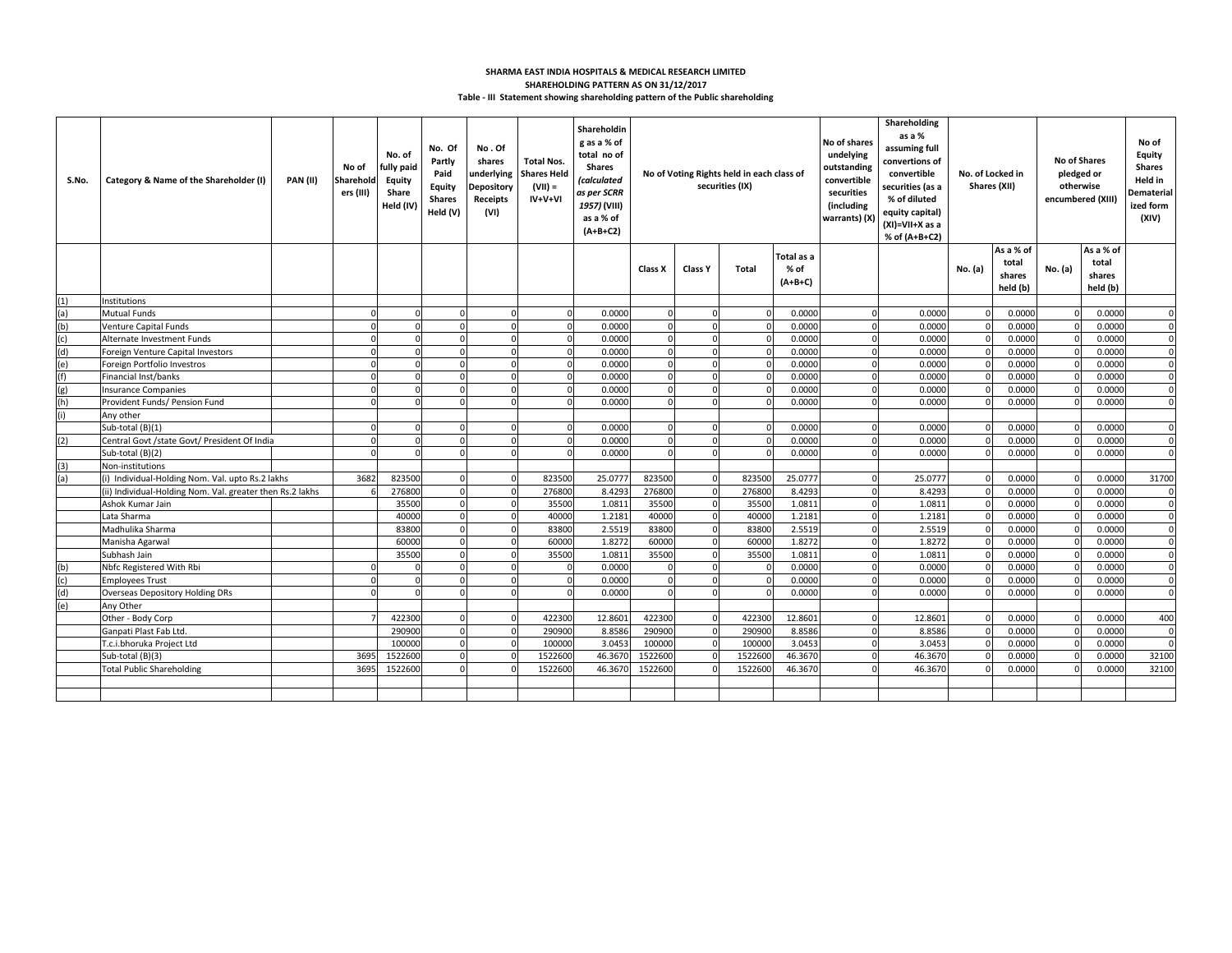## **Table - III Statement showing shareholding pattern of the Public shareholding SHARMA EAST INDIA HOSPITALS & MEDICAL RESEARCH LIMITED SHAREHOLDING PATTERN AS ON 31/12/2017**

| S.No.      | Category & Name of the Shareholder (I)                    | <b>PAN (II)</b> | No of<br>Sharehold<br>ers (III) | No. of<br>fully paid<br><b>Equity</b><br>Share<br>Held (IV) | No. Of<br>Partly<br>Paid<br><b>Equity</b><br><b>Shares</b><br>Held (V) | No.Of<br>shares<br>Depository<br>Receipts<br>(VI) | <b>Total Nos.</b><br>underlying Shares Held<br>$(VII) =$<br>$IV+V+VI$ | Shareholdin<br>g as a % of<br>total no of<br><b>Shares</b><br><i>(calculated</i><br>as per SCRR<br>1957) (VIII)<br>as a % of<br>$(A+B+C2)$ |                |                      | No of Voting Rights held in each class of<br>securities (IX) |                  | No of shares<br>undelying<br>outstanding<br>convertible<br>securities<br>(including<br>warrants) (X) | Shareholding<br>as a %<br>assuming full<br>convertions of<br>convertible<br>securities (as a<br>% of diluted<br>equity capital)<br>(XI)=VII+X as a<br>% of (A+B+C2) |         | No. of Locked in<br>Shares (XII) | <b>No of Shares</b><br>pledged or<br>otherwise<br>encumbered (XIII) |                  | No of<br>Equity<br><b>Shares</b><br>Held in<br>Dematerial<br>ized form<br>(XIV) |
|------------|-----------------------------------------------------------|-----------------|---------------------------------|-------------------------------------------------------------|------------------------------------------------------------------------|---------------------------------------------------|-----------------------------------------------------------------------|--------------------------------------------------------------------------------------------------------------------------------------------|----------------|----------------------|--------------------------------------------------------------|------------------|------------------------------------------------------------------------------------------------------|---------------------------------------------------------------------------------------------------------------------------------------------------------------------|---------|----------------------------------|---------------------------------------------------------------------|------------------|---------------------------------------------------------------------------------|
|            |                                                           |                 |                                 |                                                             |                                                                        |                                                   |                                                                       |                                                                                                                                            |                |                      |                                                              | Total as a       |                                                                                                      |                                                                                                                                                                     |         | As a % of                        |                                                                     | As a % of        |                                                                                 |
|            |                                                           |                 |                                 |                                                             |                                                                        |                                                   |                                                                       |                                                                                                                                            | Class X        | <b>Class Y</b>       | Total                                                        | % of             |                                                                                                      |                                                                                                                                                                     | No. (a) | total<br>shares                  | No. (a)                                                             | total<br>shares  |                                                                                 |
|            |                                                           |                 |                                 |                                                             |                                                                        |                                                   |                                                                       |                                                                                                                                            |                |                      |                                                              | $(A+B+C)$        |                                                                                                      |                                                                                                                                                                     |         | held (b)                         |                                                                     | held (b)         |                                                                                 |
| (1)        | nstitutions                                               |                 |                                 |                                                             |                                                                        |                                                   |                                                                       |                                                                                                                                            |                |                      |                                                              |                  |                                                                                                      |                                                                                                                                                                     |         |                                  |                                                                     |                  |                                                                                 |
| (a)        | <b>Mutual Funds</b>                                       |                 |                                 | $\Omega$                                                    | $\sqrt{ }$                                                             | $\Omega$                                          | $\Omega$                                                              | 0.0000                                                                                                                                     | $\Omega$       | $\Omega$             |                                                              | 0.0000           | $\Omega$                                                                                             | 0.0000                                                                                                                                                              |         | 0.0000                           |                                                                     | 0.0000           | $\Omega$                                                                        |
| (b)        | Venture Capital Funds                                     |                 |                                 |                                                             |                                                                        |                                                   |                                                                       | 0.0000                                                                                                                                     |                |                      |                                                              | 0.0000           | $\Omega$                                                                                             | 0.0000                                                                                                                                                              |         | 0.0000                           |                                                                     | 0.0000           | $\Omega$                                                                        |
| (c)        | Alternate Investment Funds                                |                 |                                 | $\Omega$                                                    | $\Omega$                                                               | $\Omega$                                          | $\Omega$                                                              | 0.0000                                                                                                                                     | $\Omega$       | $\Omega$             |                                                              | 0.0000           | $\Omega$                                                                                             | 0.0000                                                                                                                                                              |         | 0.0000                           |                                                                     | 0.0000           | $\Omega$                                                                        |
| (d)        | Foreign Venture Capital Investors                         |                 | n                               | $\mathbf{0}$                                                | $\Omega$                                                               | $\Omega$                                          | $\overline{0}$                                                        | 0.0000                                                                                                                                     | $\mathbf 0$    | $\Omega$             |                                                              | 0.0000           | $\Omega$                                                                                             | 0.0000                                                                                                                                                              |         | 0.0000                           |                                                                     | 0.0000           | $\Omega$                                                                        |
| (e)        | Foreign Portfolio Investros                               |                 |                                 | $\Omega$                                                    | $\sqrt{ }$                                                             | $\Omega$                                          | $\Omega$                                                              | 0.0000                                                                                                                                     | $\Omega$       | $\Omega$             |                                                              | 0.0000           | $\Omega$                                                                                             | 0.0000                                                                                                                                                              |         | 0.0000                           |                                                                     | 0.0000           | $\Omega$                                                                        |
| (f)        | Financial Inst/banks                                      |                 |                                 | $\Omega$                                                    |                                                                        | $\Omega$                                          | $\Omega$                                                              | 0.0000                                                                                                                                     | $\Omega$       | $\Omega$             |                                                              | 0.0000           | $\Omega$                                                                                             | 0.0000                                                                                                                                                              |         | 0.0000                           |                                                                     | 0.0000           | $\Omega$                                                                        |
| (g)        | Insurance Companies                                       |                 |                                 | $\Omega$                                                    |                                                                        | $\Omega$                                          | $\Omega$                                                              | 0.0000                                                                                                                                     | $\Omega$       |                      |                                                              | 0.0000           | $\Omega$                                                                                             | 0.0000                                                                                                                                                              |         | 0.0000                           |                                                                     | 0.0000           | $\Omega$                                                                        |
| (h)        | Provident Funds/ Pension Fund                             |                 |                                 | $\Omega$                                                    | $\sqrt{ }$                                                             | $\Omega$                                          | $\Omega$                                                              | 0.0000                                                                                                                                     | $\Omega$       | $\Omega$             |                                                              | 0.0000           | $\Omega$                                                                                             | 0.0000                                                                                                                                                              |         | 0.0000                           |                                                                     | 0.0000           | $\Omega$                                                                        |
| (i)        | Any other                                                 |                 |                                 |                                                             |                                                                        |                                                   |                                                                       |                                                                                                                                            |                |                      |                                                              |                  |                                                                                                      |                                                                                                                                                                     |         |                                  |                                                                     |                  |                                                                                 |
|            | Sub-total (B)(1)                                          |                 |                                 | $\Omega$                                                    | $\sqrt{ }$                                                             | $\Omega$                                          | $\Omega$                                                              | 0.0000                                                                                                                                     | $\Omega$       | $\Omega$             |                                                              | 0.0000           | $\Omega$                                                                                             | 0.0000                                                                                                                                                              |         | 0.0000                           |                                                                     | 0.0000           | $\Omega$                                                                        |
| (2)        | Central Govt /state Govt/ President Of India              |                 |                                 | $\Omega$                                                    |                                                                        | $\Omega$                                          |                                                                       | 0.0000                                                                                                                                     |                | $\Omega$             |                                                              | 0.0000           | $\Omega$                                                                                             | 0.0000                                                                                                                                                              |         | 0.000C                           |                                                                     | 0.0000           | $\Omega$                                                                        |
|            | Sub-total (B)(2)                                          |                 |                                 | n                                                           |                                                                        | $\Omega$                                          |                                                                       | 0.0000                                                                                                                                     |                | $\Omega$             |                                                              | 0.0000           | $\Omega$                                                                                             | 0.0000                                                                                                                                                              |         | 0.000C                           |                                                                     | 0.0000           |                                                                                 |
| (3)        | Non-institutions                                          |                 |                                 |                                                             |                                                                        |                                                   |                                                                       |                                                                                                                                            |                |                      |                                                              |                  |                                                                                                      |                                                                                                                                                                     |         |                                  |                                                                     |                  |                                                                                 |
| (a)        | (i) Individual-Holding Nom. Val. upto Rs.2 lakhs          |                 | 3682                            | 823500                                                      |                                                                        | $\Omega$                                          | 823500                                                                | 25.0777                                                                                                                                    | 823500         | $\Omega$             | 823500                                                       | 25.0777          | $\Omega$                                                                                             | 25.0777                                                                                                                                                             |         | 0.0000                           |                                                                     | 0.0000           | 31700                                                                           |
|            | (ii) Individual-Holding Nom. Val. greater then Rs.2 lakhs |                 |                                 | 276800                                                      |                                                                        | $\Omega$                                          | 276800                                                                | 8.4293                                                                                                                                     | 276800         | $\Omega$             | 276800                                                       | 8.4293           | $\Omega$                                                                                             | 8.4293                                                                                                                                                              |         | 0.000                            |                                                                     | 0.0000           | $\Omega$                                                                        |
|            | Ashok Kumar Jain                                          |                 |                                 | 35500                                                       |                                                                        | $\Omega$                                          | 35500                                                                 | 1.0811                                                                                                                                     | 35500          |                      | 35500                                                        | 1.0811           | $\mathbf 0$                                                                                          | 1.0811                                                                                                                                                              |         | 0.000C                           |                                                                     | 0.0000           | $\Omega$                                                                        |
|            | Lata Sharma                                               |                 |                                 | 40000                                                       | $\Omega$                                                               | $\Omega$                                          | 40000                                                                 | 1.2181                                                                                                                                     | 40000          | $\Omega$             | 40000                                                        | 1.2181           | $\Omega$                                                                                             | 1.2181                                                                                                                                                              |         | 0.0000                           |                                                                     | 0.0000           | $\mathbf 0$                                                                     |
|            | Madhulika Sharma                                          |                 |                                 | 83800                                                       | $\Omega$                                                               | $\Omega$                                          | 83800                                                                 | 2.5519                                                                                                                                     | 83800          | $\Omega$<br>$\Omega$ | 83800                                                        | 2.5519           | $\Omega$                                                                                             | 2.5519                                                                                                                                                              |         | 0.0000                           |                                                                     | 0.0000           | $\mathbf 0$                                                                     |
|            | Manisha Agarwal                                           |                 |                                 | 60000<br>35500                                              | $\sqrt{ }$                                                             | $\Omega$                                          | 60000<br>35500                                                        | 1.8272                                                                                                                                     | 60000<br>35500 |                      | 60000<br>35500                                               | 1.8272<br>1.0811 | $\mathbf 0$<br>$\Omega$                                                                              | 1.8272                                                                                                                                                              |         | 0.0000                           |                                                                     | 0.0000           | $\Omega$<br>$\Omega$                                                            |
|            | Subhash Jain<br>Nbfc Registered With Rbi                  |                 |                                 | $\Omega$                                                    |                                                                        |                                                   | $\Omega$                                                              | 1.0811<br>0.0000                                                                                                                           |                |                      |                                                              | 0.0000           | $\Omega$                                                                                             | 1.0811<br>0.0000                                                                                                                                                    |         | 0.0000<br>0.000C                 |                                                                     | 0.0000<br>0.0000 |                                                                                 |
| (b)<br>(c) |                                                           |                 | n                               | $\Omega$                                                    | $\Omega$                                                               | $\Omega$<br>$\Omega$                              | $\overline{0}$                                                        | 0.0000                                                                                                                                     | $\Omega$       | $\Omega$             |                                                              | 0.0000           | $\Omega$                                                                                             | 0.0000                                                                                                                                                              |         | 0.0000                           |                                                                     | 0.0000           | $\Omega$                                                                        |
| (d)        | <b>Employees Trust</b>                                    |                 |                                 | C                                                           |                                                                        | $\Omega$                                          |                                                                       | 0.0000                                                                                                                                     | $\Omega$       | $\Omega$             |                                                              | 0.0000           | $\Omega$                                                                                             | 0.0000                                                                                                                                                              |         | 0.0000                           |                                                                     | 0.0000           | $\Omega$                                                                        |
| (e)        | Overseas Depository Holding DRs<br>Any Other              |                 |                                 |                                                             |                                                                        |                                                   |                                                                       |                                                                                                                                            |                |                      |                                                              |                  |                                                                                                      |                                                                                                                                                                     |         |                                  |                                                                     |                  |                                                                                 |
|            | Other - Body Corp                                         |                 |                                 | 422300                                                      |                                                                        |                                                   | 422300                                                                | 12.8601                                                                                                                                    | 422300         |                      | 422300                                                       | 12.8601          | $\Omega$                                                                                             | 12.8601                                                                                                                                                             |         | 0.0000                           |                                                                     | 0.0000           | 400                                                                             |
|            | Ganpati Plast Fab Ltd.                                    |                 |                                 | 290900                                                      | $\Omega$                                                               | $\Omega$                                          | 290900                                                                | 8.8586                                                                                                                                     | 290900         |                      | 290900                                                       | 8.8586           | $\Omega$                                                                                             | 8.8586                                                                                                                                                              |         | 0.0000                           |                                                                     | 0.0000           | $\Omega$                                                                        |
|            | T.c.i.bhoruka Project Ltd                                 |                 |                                 | 100000                                                      | $\Omega$                                                               | $\Omega$                                          | 100000                                                                | 3.0453                                                                                                                                     | 100000         | $\Omega$             | 100000                                                       | 3.0453           | $\mathbf 0$                                                                                          | 3.0453                                                                                                                                                              |         | 0.0000                           |                                                                     | 0.0000           | $\Omega$                                                                        |
|            | Sub-total (B)(3)                                          |                 | 3695                            | 1522600                                                     | $\sqrt{ }$                                                             | $\Omega$                                          | 1522600                                                               | 46.3670                                                                                                                                    | 1522600        |                      | 1522600                                                      | 46.3670          | $\Omega$                                                                                             | 46.3670                                                                                                                                                             |         | 0.0000                           |                                                                     | 0.0000           | 32100                                                                           |
|            | <b>Total Public Shareholding</b>                          |                 | 3695                            | 1522600                                                     |                                                                        |                                                   | 1522600                                                               | 46.3670                                                                                                                                    | 1522600        |                      | 1522600                                                      | 46.3670          | $\Omega$                                                                                             | 46.3670                                                                                                                                                             |         | 0.0000                           |                                                                     | 0.0000           | 32100                                                                           |
|            |                                                           |                 |                                 |                                                             |                                                                        |                                                   |                                                                       |                                                                                                                                            |                |                      |                                                              |                  |                                                                                                      |                                                                                                                                                                     |         |                                  |                                                                     |                  |                                                                                 |
|            |                                                           |                 |                                 |                                                             |                                                                        |                                                   |                                                                       |                                                                                                                                            |                |                      |                                                              |                  |                                                                                                      |                                                                                                                                                                     |         |                                  |                                                                     |                  |                                                                                 |
|            |                                                           |                 |                                 |                                                             |                                                                        |                                                   |                                                                       |                                                                                                                                            |                |                      |                                                              |                  |                                                                                                      |                                                                                                                                                                     |         |                                  |                                                                     |                  |                                                                                 |